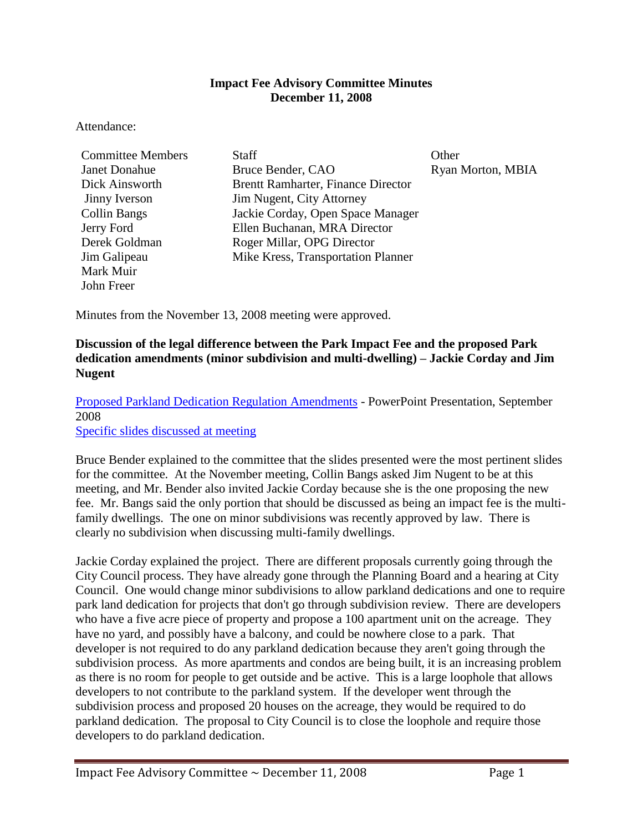#### **Impact Fee Advisory Committee Minutes December 11, 2008**

#### Attendance:

| <b>Committee Members</b> | <b>Staff</b>                              | Other             |
|--------------------------|-------------------------------------------|-------------------|
| <b>Janet Donahue</b>     | Bruce Bender, CAO                         | Ryan Morton, MBIA |
| Dick Ainsworth           | <b>Brentt Ramharter, Finance Director</b> |                   |
| Jinny Iverson            | Jim Nugent, City Attorney                 |                   |
| <b>Collin Bangs</b>      | Jackie Corday, Open Space Manager         |                   |
| Jerry Ford               | Ellen Buchanan, MRA Director              |                   |
| Derek Goldman            | Roger Millar, OPG Director                |                   |
| Jim Galipeau             | Mike Kress, Transportation Planner        |                   |
| Mark Muir                |                                           |                   |
| John Freer               |                                           |                   |

Minutes from the November 13, 2008 meeting were approved.

### **Discussion of the legal difference between the Park Impact Fee and the proposed Park dedication amendments (minor subdivision and multi-dwelling) – Jackie Corday and Jim Nugent**

[Proposed Parkland Dedication Regulation Amendments](http://www.ci.missoula.mt.us/parksrec/Docs%20to%20distribute/2008-12-JC-Parkland%20RegsPPT.pdf) - PowerPoint Presentation, September 2008 [Specific slides discussed at meeting](ftp://www.ci.missoula.mt.us/Documents/Mayor/IFAC/2008/081211ParksPPT.pdf)

Bruce Bender explained to the committee that the slides presented were the most pertinent slides for the committee. At the November meeting, Collin Bangs asked Jim Nugent to be at this meeting, and Mr. Bender also invited Jackie Corday because she is the one proposing the new fee. Mr. Bangs said the only portion that should be discussed as being an impact fee is the multifamily dwellings. The one on minor subdivisions was recently approved by law. There is clearly no subdivision when discussing multi-family dwellings.

Jackie Corday explained the project. There are different proposals currently going through the City Council process. They have already gone through the Planning Board and a hearing at City Council. One would change minor subdivisions to allow parkland dedications and one to require park land dedication for projects that don't go through subdivision review. There are developers who have a five acre piece of property and propose a 100 apartment unit on the acreage. They have no yard, and possibly have a balcony, and could be nowhere close to a park. That developer is not required to do any parkland dedication because they aren't going through the subdivision process. As more apartments and condos are being built, it is an increasing problem as there is no room for people to get outside and be active. This is a large loophole that allows developers to not contribute to the parkland system. If the developer went through the subdivision process and proposed 20 houses on the acreage, they would be required to do parkland dedication. The proposal to City Council is to close the loophole and require those developers to do parkland dedication.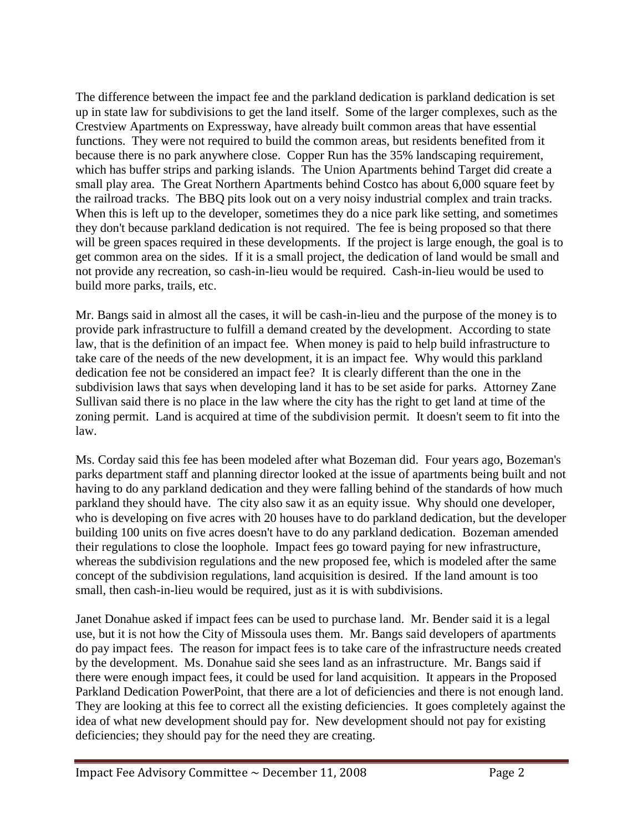The difference between the impact fee and the parkland dedication is parkland dedication is set up in state law for subdivisions to get the land itself. Some of the larger complexes, such as the Crestview Apartments on Expressway, have already built common areas that have essential functions. They were not required to build the common areas, but residents benefited from it because there is no park anywhere close. Copper Run has the 35% landscaping requirement, which has buffer strips and parking islands. The Union Apartments behind Target did create a small play area. The Great Northern Apartments behind Costco has about 6,000 square feet by the railroad tracks. The BBQ pits look out on a very noisy industrial complex and train tracks. When this is left up to the developer, sometimes they do a nice park like setting, and sometimes they don't because parkland dedication is not required. The fee is being proposed so that there will be green spaces required in these developments. If the project is large enough, the goal is to get common area on the sides. If it is a small project, the dedication of land would be small and not provide any recreation, so cash-in-lieu would be required. Cash-in-lieu would be used to build more parks, trails, etc.

Mr. Bangs said in almost all the cases, it will be cash-in-lieu and the purpose of the money is to provide park infrastructure to fulfill a demand created by the development. According to state law, that is the definition of an impact fee. When money is paid to help build infrastructure to take care of the needs of the new development, it is an impact fee. Why would this parkland dedication fee not be considered an impact fee? It is clearly different than the one in the subdivision laws that says when developing land it has to be set aside for parks. Attorney Zane Sullivan said there is no place in the law where the city has the right to get land at time of the zoning permit. Land is acquired at time of the subdivision permit. It doesn't seem to fit into the law.

Ms. Corday said this fee has been modeled after what Bozeman did. Four years ago, Bozeman's parks department staff and planning director looked at the issue of apartments being built and not having to do any parkland dedication and they were falling behind of the standards of how much parkland they should have. The city also saw it as an equity issue. Why should one developer, who is developing on five acres with 20 houses have to do parkland dedication, but the developer building 100 units on five acres doesn't have to do any parkland dedication. Bozeman amended their regulations to close the loophole. Impact fees go toward paying for new infrastructure, whereas the subdivision regulations and the new proposed fee, which is modeled after the same concept of the subdivision regulations, land acquisition is desired. If the land amount is too small, then cash-in-lieu would be required, just as it is with subdivisions.

Janet Donahue asked if impact fees can be used to purchase land. Mr. Bender said it is a legal use, but it is not how the City of Missoula uses them. Mr. Bangs said developers of apartments do pay impact fees. The reason for impact fees is to take care of the infrastructure needs created by the development. Ms. Donahue said she sees land as an infrastructure. Mr. Bangs said if there were enough impact fees, it could be used for land acquisition. It appears in the Proposed Parkland Dedication PowerPoint, that there are a lot of deficiencies and there is not enough land. They are looking at this fee to correct all the existing deficiencies. It goes completely against the idea of what new development should pay for. New development should not pay for existing deficiencies; they should pay for the need they are creating.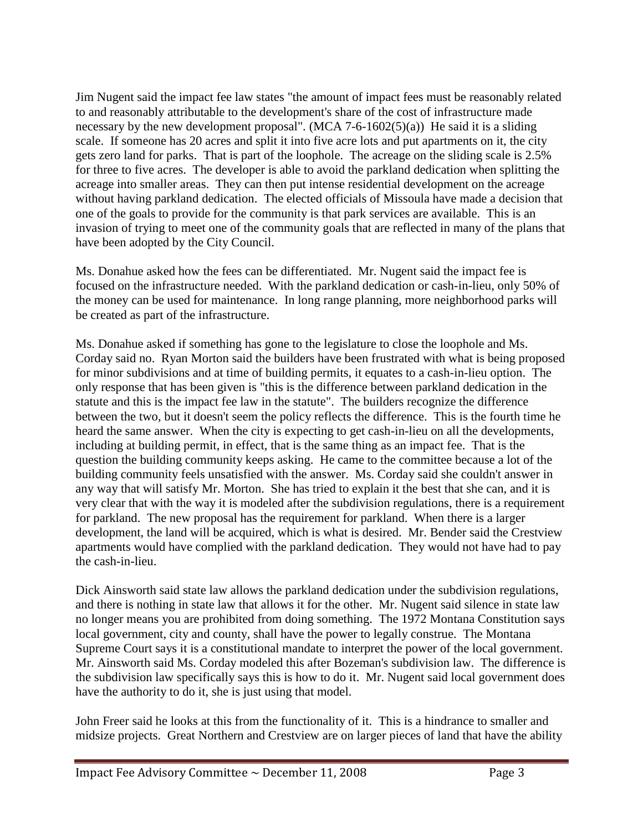Jim Nugent said the impact fee law states "the amount of impact fees must be reasonably related to and reasonably attributable to the development's share of the cost of infrastructure made necessary by the new development proposal". (MCA 7-6-1602(5)(a)) He said it is a sliding scale. If someone has 20 acres and split it into five acre lots and put apartments on it, the city gets zero land for parks. That is part of the loophole. The acreage on the sliding scale is 2.5% for three to five acres. The developer is able to avoid the parkland dedication when splitting the acreage into smaller areas. They can then put intense residential development on the acreage without having parkland dedication. The elected officials of Missoula have made a decision that one of the goals to provide for the community is that park services are available. This is an invasion of trying to meet one of the community goals that are reflected in many of the plans that have been adopted by the City Council.

Ms. Donahue asked how the fees can be differentiated. Mr. Nugent said the impact fee is focused on the infrastructure needed. With the parkland dedication or cash-in-lieu, only 50% of the money can be used for maintenance. In long range planning, more neighborhood parks will be created as part of the infrastructure.

Ms. Donahue asked if something has gone to the legislature to close the loophole and Ms. Corday said no. Ryan Morton said the builders have been frustrated with what is being proposed for minor subdivisions and at time of building permits, it equates to a cash-in-lieu option. The only response that has been given is "this is the difference between parkland dedication in the statute and this is the impact fee law in the statute". The builders recognize the difference between the two, but it doesn't seem the policy reflects the difference. This is the fourth time he heard the same answer. When the city is expecting to get cash-in-lieu on all the developments, including at building permit, in effect, that is the same thing as an impact fee. That is the question the building community keeps asking. He came to the committee because a lot of the building community feels unsatisfied with the answer. Ms. Corday said she couldn't answer in any way that will satisfy Mr. Morton. She has tried to explain it the best that she can, and it is very clear that with the way it is modeled after the subdivision regulations, there is a requirement for parkland. The new proposal has the requirement for parkland. When there is a larger development, the land will be acquired, which is what is desired. Mr. Bender said the Crestview apartments would have complied with the parkland dedication. They would not have had to pay the cash-in-lieu.

Dick Ainsworth said state law allows the parkland dedication under the subdivision regulations, and there is nothing in state law that allows it for the other. Mr. Nugent said silence in state law no longer means you are prohibited from doing something. The 1972 Montana Constitution says local government, city and county, shall have the power to legally construe. The Montana Supreme Court says it is a constitutional mandate to interpret the power of the local government. Mr. Ainsworth said Ms. Corday modeled this after Bozeman's subdivision law. The difference is the subdivision law specifically says this is how to do it. Mr. Nugent said local government does have the authority to do it, she is just using that model.

John Freer said he looks at this from the functionality of it. This is a hindrance to smaller and midsize projects. Great Northern and Crestview are on larger pieces of land that have the ability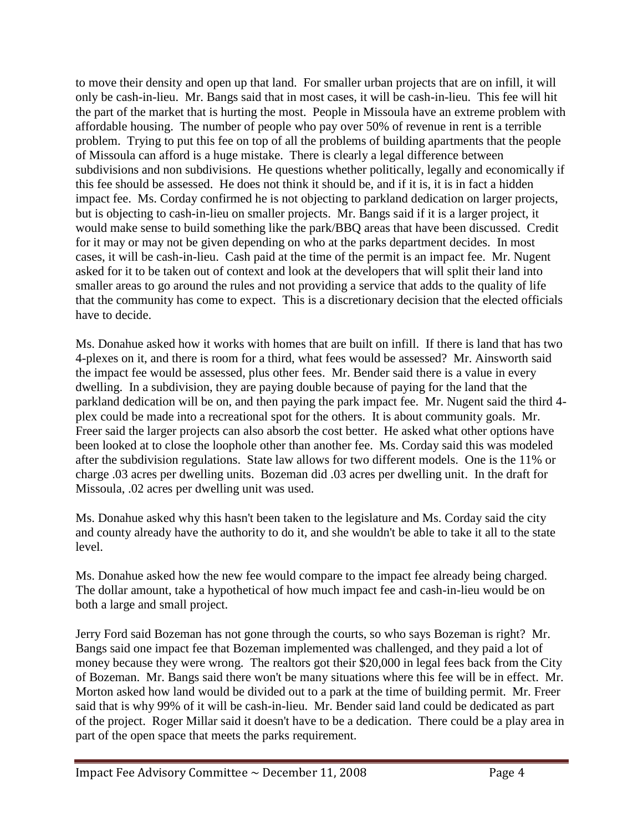to move their density and open up that land. For smaller urban projects that are on infill, it will only be cash-in-lieu. Mr. Bangs said that in most cases, it will be cash-in-lieu. This fee will hit the part of the market that is hurting the most. People in Missoula have an extreme problem with affordable housing. The number of people who pay over 50% of revenue in rent is a terrible problem. Trying to put this fee on top of all the problems of building apartments that the people of Missoula can afford is a huge mistake. There is clearly a legal difference between subdivisions and non subdivisions. He questions whether politically, legally and economically if this fee should be assessed. He does not think it should be, and if it is, it is in fact a hidden impact fee. Ms. Corday confirmed he is not objecting to parkland dedication on larger projects, but is objecting to cash-in-lieu on smaller projects. Mr. Bangs said if it is a larger project, it would make sense to build something like the park/BBQ areas that have been discussed. Credit for it may or may not be given depending on who at the parks department decides. In most cases, it will be cash-in-lieu. Cash paid at the time of the permit is an impact fee. Mr. Nugent asked for it to be taken out of context and look at the developers that will split their land into smaller areas to go around the rules and not providing a service that adds to the quality of life that the community has come to expect. This is a discretionary decision that the elected officials have to decide.

Ms. Donahue asked how it works with homes that are built on infill. If there is land that has two 4-plexes on it, and there is room for a third, what fees would be assessed? Mr. Ainsworth said the impact fee would be assessed, plus other fees. Mr. Bender said there is a value in every dwelling. In a subdivision, they are paying double because of paying for the land that the parkland dedication will be on, and then paying the park impact fee. Mr. Nugent said the third 4 plex could be made into a recreational spot for the others. It is about community goals. Mr. Freer said the larger projects can also absorb the cost better. He asked what other options have been looked at to close the loophole other than another fee. Ms. Corday said this was modeled after the subdivision regulations. State law allows for two different models. One is the 11% or charge .03 acres per dwelling units. Bozeman did .03 acres per dwelling unit. In the draft for Missoula, .02 acres per dwelling unit was used.

Ms. Donahue asked why this hasn't been taken to the legislature and Ms. Corday said the city and county already have the authority to do it, and she wouldn't be able to take it all to the state level.

Ms. Donahue asked how the new fee would compare to the impact fee already being charged. The dollar amount, take a hypothetical of how much impact fee and cash-in-lieu would be on both a large and small project.

Jerry Ford said Bozeman has not gone through the courts, so who says Bozeman is right? Mr. Bangs said one impact fee that Bozeman implemented was challenged, and they paid a lot of money because they were wrong. The realtors got their \$20,000 in legal fees back from the City of Bozeman. Mr. Bangs said there won't be many situations where this fee will be in effect. Mr. Morton asked how land would be divided out to a park at the time of building permit. Mr. Freer said that is why 99% of it will be cash-in-lieu. Mr. Bender said land could be dedicated as part of the project. Roger Millar said it doesn't have to be a dedication. There could be a play area in part of the open space that meets the parks requirement.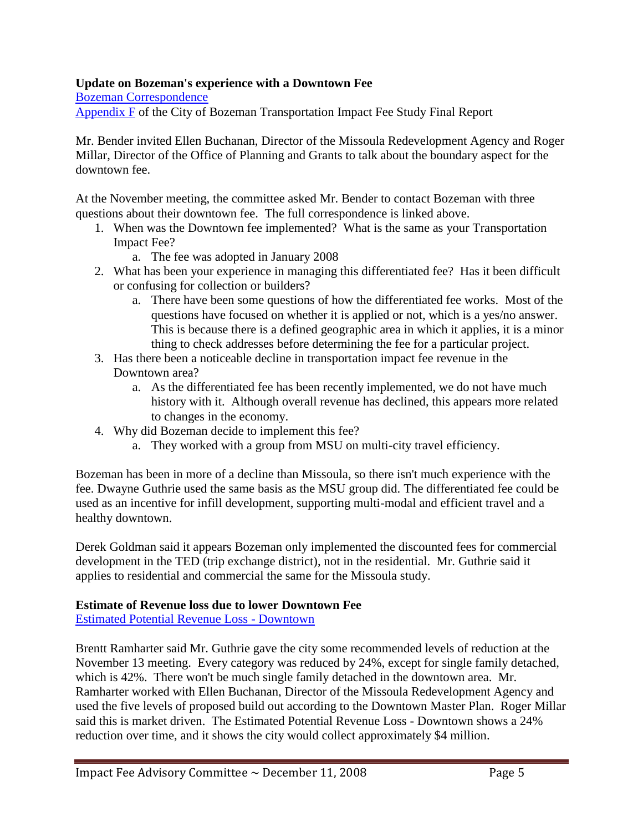### **Update on Bozeman's experience with a Downtown Fee**

[Bozeman Correspondence](ftp://www.ci.missoula.mt.us/Documents/Mayor/IFAC/2008/081211BozemanCorr.pdf)

[Appendix F](ftp://www.ci.missoula.mt.us/Documents/Mayor/IFAC/2008/081211AppF.pdf) of the City of Bozeman Transportation Impact Fee Study Final Report

Mr. Bender invited Ellen Buchanan, Director of the Missoula Redevelopment Agency and Roger Millar, Director of the Office of Planning and Grants to talk about the boundary aspect for the downtown fee.

At the November meeting, the committee asked Mr. Bender to contact Bozeman with three questions about their downtown fee. The full correspondence is linked above.

- 1. When was the Downtown fee implemented? What is the same as your Transportation Impact Fee?
	- a. The fee was adopted in January 2008
- 2. What has been your experience in managing this differentiated fee? Has it been difficult or confusing for collection or builders?
	- a. There have been some questions of how the differentiated fee works. Most of the questions have focused on whether it is applied or not, which is a yes/no answer. This is because there is a defined geographic area in which it applies, it is a minor thing to check addresses before determining the fee for a particular project.
- 3. Has there been a noticeable decline in transportation impact fee revenue in the Downtown area?
	- a. As the differentiated fee has been recently implemented, we do not have much history with it. Although overall revenue has declined, this appears more related to changes in the economy.
- 4. Why did Bozeman decide to implement this fee?
	- a. They worked with a group from MSU on multi-city travel efficiency.

Bozeman has been in more of a decline than Missoula, so there isn't much experience with the fee. Dwayne Guthrie used the same basis as the MSU group did. The differentiated fee could be used as an incentive for infill development, supporting multi-modal and efficient travel and a healthy downtown.

Derek Goldman said it appears Bozeman only implemented the discounted fees for commercial development in the TED (trip exchange district), not in the residential. Mr. Guthrie said it applies to residential and commercial the same for the Missoula study.

#### **Estimate of Revenue loss due to lower Downtown Fee**

[Estimated Potential Revenue Loss -](ftp://www.ci.missoula.mt.us/Documents/Mayor/IFAC/2008/081211IRevenueLoss.pdf) Downtown

Brentt Ramharter said Mr. Guthrie gave the city some recommended levels of reduction at the November 13 meeting. Every category was reduced by 24%, except for single family detached, which is 42%. There won't be much single family detached in the downtown area. Mr. Ramharter worked with Ellen Buchanan, Director of the Missoula Redevelopment Agency and used the five levels of proposed build out according to the Downtown Master Plan. Roger Millar said this is market driven. The Estimated Potential Revenue Loss - Downtown shows a 24% reduction over time, and it shows the city would collect approximately \$4 million.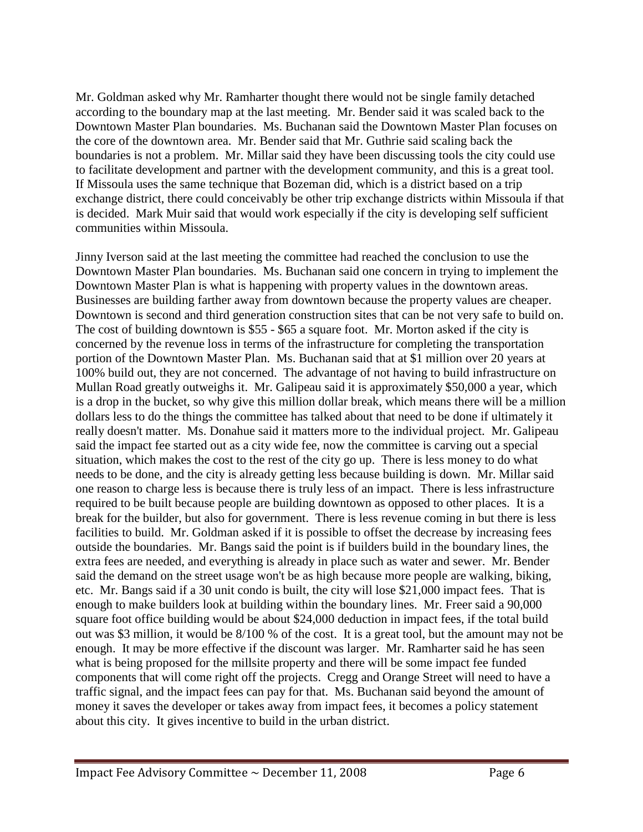Mr. Goldman asked why Mr. Ramharter thought there would not be single family detached according to the boundary map at the last meeting. Mr. Bender said it was scaled back to the Downtown Master Plan boundaries. Ms. Buchanan said the Downtown Master Plan focuses on the core of the downtown area. Mr. Bender said that Mr. Guthrie said scaling back the boundaries is not a problem. Mr. Millar said they have been discussing tools the city could use to facilitate development and partner with the development community, and this is a great tool. If Missoula uses the same technique that Bozeman did, which is a district based on a trip exchange district, there could conceivably be other trip exchange districts within Missoula if that is decided. Mark Muir said that would work especially if the city is developing self sufficient communities within Missoula.

Jinny Iverson said at the last meeting the committee had reached the conclusion to use the Downtown Master Plan boundaries. Ms. Buchanan said one concern in trying to implement the Downtown Master Plan is what is happening with property values in the downtown areas. Businesses are building farther away from downtown because the property values are cheaper. Downtown is second and third generation construction sites that can be not very safe to build on. The cost of building downtown is \$55 - \$65 a square foot. Mr. Morton asked if the city is concerned by the revenue loss in terms of the infrastructure for completing the transportation portion of the Downtown Master Plan. Ms. Buchanan said that at \$1 million over 20 years at 100% build out, they are not concerned. The advantage of not having to build infrastructure on Mullan Road greatly outweighs it. Mr. Galipeau said it is approximately \$50,000 a year, which is a drop in the bucket, so why give this million dollar break, which means there will be a million dollars less to do the things the committee has talked about that need to be done if ultimately it really doesn't matter. Ms. Donahue said it matters more to the individual project. Mr. Galipeau said the impact fee started out as a city wide fee, now the committee is carving out a special situation, which makes the cost to the rest of the city go up. There is less money to do what needs to be done, and the city is already getting less because building is down. Mr. Millar said one reason to charge less is because there is truly less of an impact. There is less infrastructure required to be built because people are building downtown as opposed to other places. It is a break for the builder, but also for government. There is less revenue coming in but there is less facilities to build. Mr. Goldman asked if it is possible to offset the decrease by increasing fees outside the boundaries. Mr. Bangs said the point is if builders build in the boundary lines, the extra fees are needed, and everything is already in place such as water and sewer. Mr. Bender said the demand on the street usage won't be as high because more people are walking, biking, etc. Mr. Bangs said if a 30 unit condo is built, the city will lose \$21,000 impact fees. That is enough to make builders look at building within the boundary lines. Mr. Freer said a 90,000 square foot office building would be about \$24,000 deduction in impact fees, if the total build out was \$3 million, it would be 8/100 % of the cost. It is a great tool, but the amount may not be enough. It may be more effective if the discount was larger. Mr. Ramharter said he has seen what is being proposed for the millsite property and there will be some impact fee funded components that will come right off the projects. Cregg and Orange Street will need to have a traffic signal, and the impact fees can pay for that. Ms. Buchanan said beyond the amount of money it saves the developer or takes away from impact fees, it becomes a policy statement about this city. It gives incentive to build in the urban district.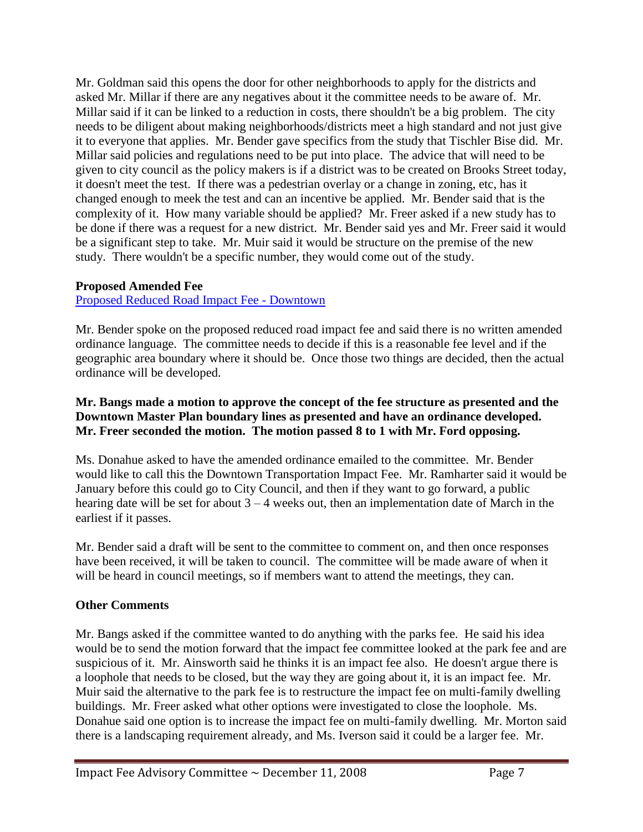Mr. Goldman said this opens the door for other neighborhoods to apply for the districts and asked Mr. Millar if there are any negatives about it the committee needs to be aware of. Mr. Millar said if it can be linked to a reduction in costs, there shouldn't be a big problem. The city needs to be diligent about making neighborhoods/districts meet a high standard and not just give it to everyone that applies. Mr. Bender gave specifics from the study that Tischler Bise did. Mr. Millar said policies and regulations need to be put into place. The advice that will need to be given to city council as the policy makers is if a district was to be created on Brooks Street today, it doesn't meet the test. If there was a pedestrian overlay or a change in zoning, etc, has it changed enough to meek the test and can an incentive be applied. Mr. Bender said that is the complexity of it. How many variable should be applied? Mr. Freer asked if a new study has to be done if there was a request for a new district. Mr. Bender said yes and Mr. Freer said it would be a significant step to take. Mr. Muir said it would be structure on the premise of the new study. There wouldn't be a specific number, they would come out of the study.

## **Proposed Amended Fee**

[Proposed Reduced Road Impact Fee -](ftp://www.ci.missoula.mt.us/Documents/Mayor/IFAC/2008/081211NewFeeSchedule.pdf) Downtown

Mr. Bender spoke on the proposed reduced road impact fee and said there is no written amended ordinance language. The committee needs to decide if this is a reasonable fee level and if the geographic area boundary where it should be. Once those two things are decided, then the actual ordinance will be developed.

### **Mr. Bangs made a motion to approve the concept of the fee structure as presented and the Downtown Master Plan boundary lines as presented and have an ordinance developed. Mr. Freer seconded the motion. The motion passed 8 to 1 with Mr. Ford opposing.**

Ms. Donahue asked to have the amended ordinance emailed to the committee. Mr. Bender would like to call this the Downtown Transportation Impact Fee. Mr. Ramharter said it would be January before this could go to City Council, and then if they want to go forward, a public hearing date will be set for about  $3 - 4$  weeks out, then an implementation date of March in the earliest if it passes.

Mr. Bender said a draft will be sent to the committee to comment on, and then once responses have been received, it will be taken to council. The committee will be made aware of when it will be heard in council meetings, so if members want to attend the meetings, they can.

# **Other Comments**

Mr. Bangs asked if the committee wanted to do anything with the parks fee. He said his idea would be to send the motion forward that the impact fee committee looked at the park fee and are suspicious of it. Mr. Ainsworth said he thinks it is an impact fee also. He doesn't argue there is a loophole that needs to be closed, but the way they are going about it, it is an impact fee. Mr. Muir said the alternative to the park fee is to restructure the impact fee on multi-family dwelling buildings. Mr. Freer asked what other options were investigated to close the loophole. Ms. Donahue said one option is to increase the impact fee on multi-family dwelling. Mr. Morton said there is a landscaping requirement already, and Ms. Iverson said it could be a larger fee. Mr.